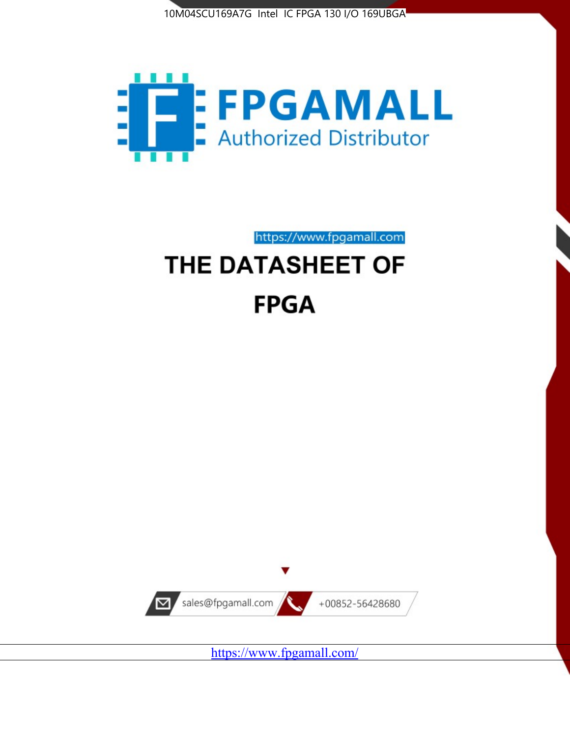



# https://www.fpgamall.com THE DATASHEET OF

## **FPGA**



<https://www.fpgamall.com/>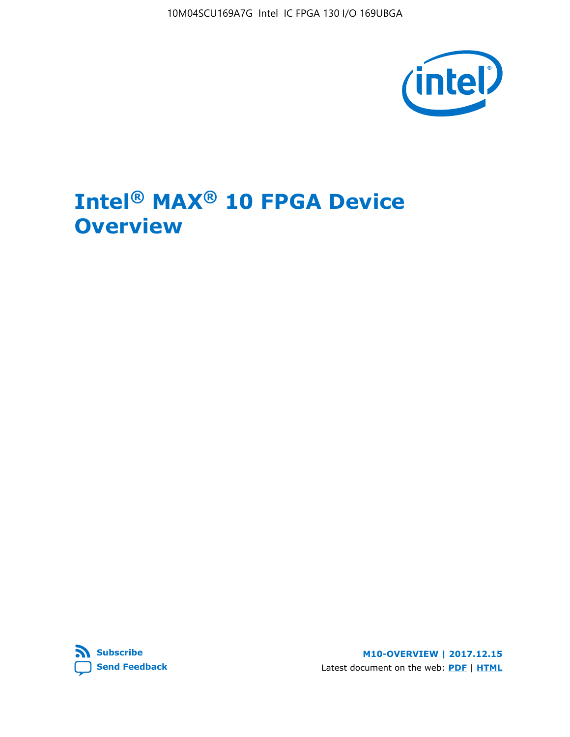10M04SCU169A7G Intel IC FPGA 130 I/O 169UBGA



## **Intel® MAX® 10 FPGA Device Overview**



**M10-OVERVIEW | 2017.12.15** Latest document on the web: **[PDF](https://www.altera.com/en_US/pdfs/literature/hb/max-10/m10_overview.pdf)** | **[HTML](https://www.altera.com/documentation/myt1396938463674.html)**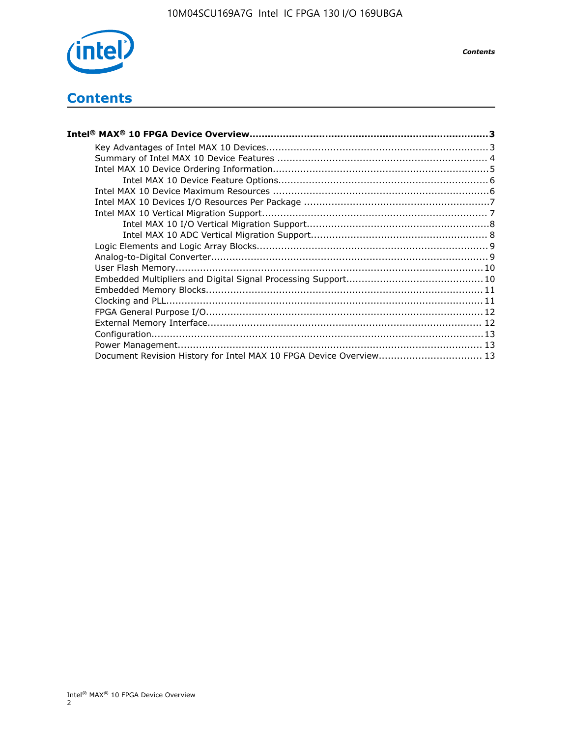

*Contents*

## **Contents**

| Intel® MAX® 10 FPGA Device Overview……………………………………………………………………………3  |  |
|--------------------------------------------------------------------|--|
|                                                                    |  |
|                                                                    |  |
|                                                                    |  |
|                                                                    |  |
|                                                                    |  |
|                                                                    |  |
|                                                                    |  |
|                                                                    |  |
|                                                                    |  |
|                                                                    |  |
|                                                                    |  |
|                                                                    |  |
|                                                                    |  |
|                                                                    |  |
|                                                                    |  |
|                                                                    |  |
|                                                                    |  |
|                                                                    |  |
|                                                                    |  |
| Document Revision History for Intel MAX 10 FPGA Device Overview 13 |  |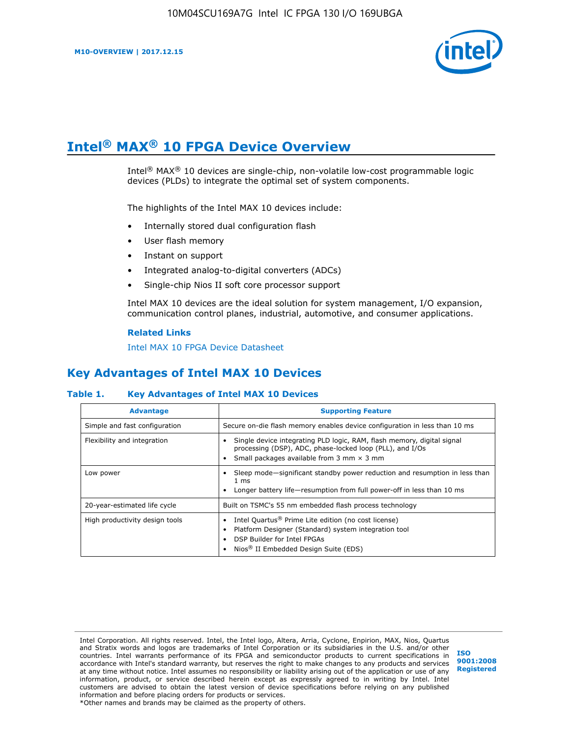

## **Intel® MAX® 10 FPGA Device Overview**

Intel® MAX® 10 devices are single-chip, non-volatile low-cost programmable logic devices (PLDs) to integrate the optimal set of system components.

The highlights of the Intel MAX 10 devices include:

- Internally stored dual configuration flash
- User flash memory
- Instant on support
- Integrated analog-to-digital converters (ADCs)
- Single-chip Nios II soft core processor support

Intel MAX 10 devices are the ideal solution for system management, I/O expansion, communication control planes, industrial, automotive, and consumer applications.

#### **Related Links**

[Intel MAX 10 FPGA Device Datasheet](https://www.altera.com/documentation/mcn1397700832153.html#mcn1397643748870)

## **Key Advantages of Intel MAX 10 Devices**

#### **Table 1. Key Advantages of Intel MAX 10 Devices**

| <b>Advantage</b>               | <b>Supporting Feature</b>                                                                                                                                                                                  |  |  |  |
|--------------------------------|------------------------------------------------------------------------------------------------------------------------------------------------------------------------------------------------------------|--|--|--|
| Simple and fast configuration  | Secure on-die flash memory enables device configuration in less than 10 ms                                                                                                                                 |  |  |  |
| Flexibility and integration    | Single device integrating PLD logic, RAM, flash memory, digital signal<br>processing (DSP), ADC, phase-locked loop (PLL), and I/Os<br>Small packages available from 3 mm $\times$ 3 mm                     |  |  |  |
| Low power                      | Sleep mode—significant standby power reduction and resumption in less than<br>$1 \text{ ms}$<br>Longer battery life-resumption from full power-off in less than 10 ms                                      |  |  |  |
| 20-year-estimated life cycle   | Built on TSMC's 55 nm embedded flash process technology                                                                                                                                                    |  |  |  |
| High productivity design tools | Intel Quartus <sup>®</sup> Prime Lite edition (no cost license)<br>Platform Designer (Standard) system integration tool<br>DSP Builder for Intel FPGAs<br>Nios <sup>®</sup> II Embedded Design Suite (EDS) |  |  |  |

Intel Corporation. All rights reserved. Intel, the Intel logo, Altera, Arria, Cyclone, Enpirion, MAX, Nios, Quartus and Stratix words and logos are trademarks of Intel Corporation or its subsidiaries in the U.S. and/or other countries. Intel warrants performance of its FPGA and semiconductor products to current specifications in accordance with Intel's standard warranty, but reserves the right to make changes to any products and services at any time without notice. Intel assumes no responsibility or liability arising out of the application or use of any information, product, or service described herein except as expressly agreed to in writing by Intel. Intel customers are advised to obtain the latest version of device specifications before relying on any published information and before placing orders for products or services. \*Other names and brands may be claimed as the property of others.

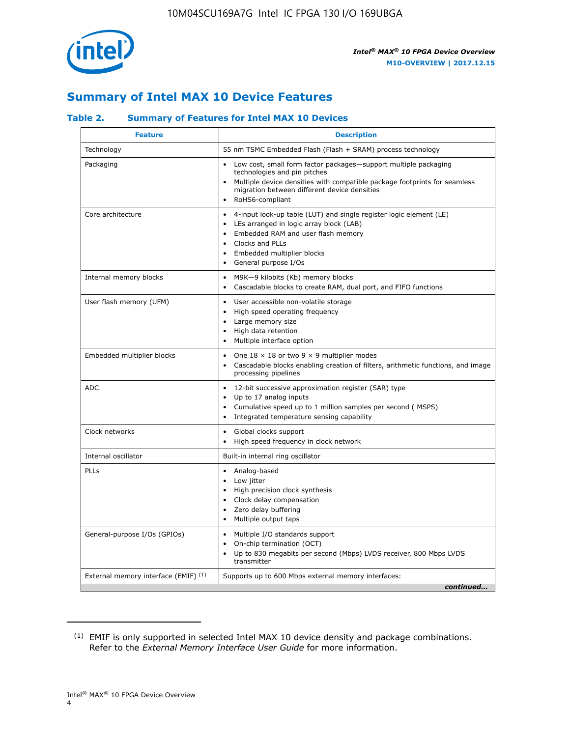

## **Summary of Intel MAX 10 Device Features**

#### **Table 2. Summary of Features for Intel MAX 10 Devices**

| <b>Feature</b>                       | <b>Description</b>                                                                                                                                                                                                                                                                                         |
|--------------------------------------|------------------------------------------------------------------------------------------------------------------------------------------------------------------------------------------------------------------------------------------------------------------------------------------------------------|
| Technology                           | 55 nm TSMC Embedded Flash (Flash + SRAM) process technology                                                                                                                                                                                                                                                |
| Packaging                            | Low cost, small form factor packages-support multiple packaging<br>technologies and pin pitches<br>Multiple device densities with compatible package footprints for seamless<br>migration between different device densities<br>RoHS6-compliant                                                            |
| Core architecture                    | 4-input look-up table (LUT) and single register logic element (LE)<br>$\bullet$<br>LEs arranged in logic array block (LAB)<br>$\bullet$<br>Embedded RAM and user flash memory<br>$\bullet$<br>Clocks and PLLs<br>$\bullet$<br>Embedded multiplier blocks<br>$\bullet$<br>General purpose I/Os<br>$\bullet$ |
| Internal memory blocks               | M9K-9 kilobits (Kb) memory blocks<br>$\bullet$<br>Cascadable blocks to create RAM, dual port, and FIFO functions<br>$\bullet$                                                                                                                                                                              |
| User flash memory (UFM)              | User accessible non-volatile storage<br>$\bullet$<br>High speed operating frequency<br>$\bullet$<br>Large memory size<br>High data retention<br>$\bullet$<br>Multiple interface option                                                                                                                     |
| Embedded multiplier blocks           | One $18 \times 18$ or two 9 $\times$ 9 multiplier modes<br>$\bullet$<br>Cascadable blocks enabling creation of filters, arithmetic functions, and image<br>processing pipelines                                                                                                                            |
| <b>ADC</b>                           | 12-bit successive approximation register (SAR) type<br>$\bullet$<br>Up to 17 analog inputs<br>$\bullet$<br>Cumulative speed up to 1 million samples per second (MSPS)<br>Integrated temperature sensing capability<br>$\bullet$                                                                            |
| Clock networks                       | Global clocks support<br>$\bullet$<br>High speed frequency in clock network                                                                                                                                                                                                                                |
| Internal oscillator                  | Built-in internal ring oscillator                                                                                                                                                                                                                                                                          |
| PLLs                                 | • Analog-based<br>Low jitter<br>$\bullet$<br>High precision clock synthesis<br>$\bullet$<br>Clock delay compensation<br>$\bullet$<br>Zero delay buffering<br>$\bullet$<br>Multiple output taps<br>$\bullet$                                                                                                |
| General-purpose I/Os (GPIOs)         | • Multiple I/O standards support<br>On-chip termination (OCT)<br>$\bullet$<br>Up to 830 megabits per second (Mbps) LVDS receiver, 800 Mbps LVDS<br>transmitter                                                                                                                                             |
| External memory interface (EMIF) (1) | Supports up to 600 Mbps external memory interfaces:<br>continued                                                                                                                                                                                                                                           |

<sup>(1)</sup> EMIF is only supported in selected Intel MAX 10 device density and package combinations. Refer to the *External Memory Interface User Guide* for more information.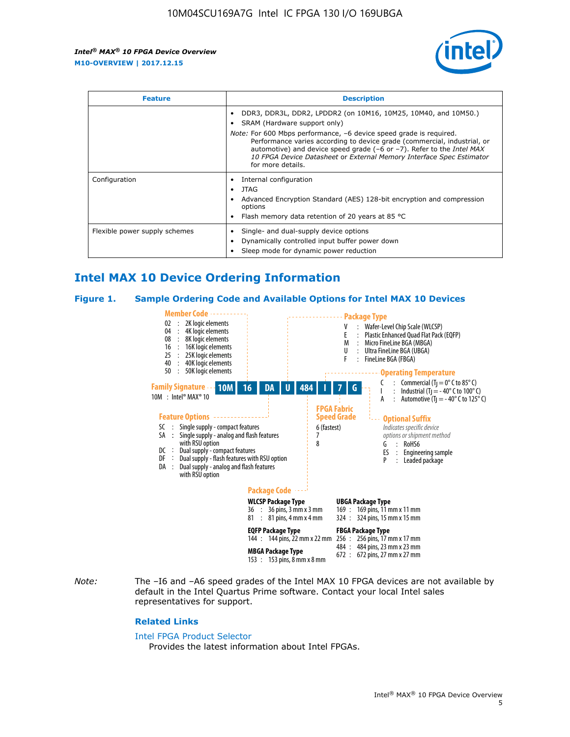

| <b>Feature</b>                | <b>Description</b>                                                                                                                                                                                                                                                                                                                                                                                                                               |  |  |  |
|-------------------------------|--------------------------------------------------------------------------------------------------------------------------------------------------------------------------------------------------------------------------------------------------------------------------------------------------------------------------------------------------------------------------------------------------------------------------------------------------|--|--|--|
|                               | DDR3, DDR3L, DDR2, LPDDR2 (on 10M16, 10M25, 10M40, and 10M50.)<br>SRAM (Hardware support only)<br><i>Note:</i> For 600 Mbps performance, -6 device speed grade is required.<br>Performance varies according to device grade (commercial, industrial, or<br>automotive) and device speed grade $(-6 \text{ or } -7)$ . Refer to the <i>Intel MAX</i><br>10 FPGA Device Datasheet or External Memory Interface Spec Estimator<br>for more details. |  |  |  |
| Configuration                 | Internal configuration<br>JTAG<br>٠<br>Advanced Encryption Standard (AES) 128-bit encryption and compression<br>options<br>Flash memory data retention of 20 years at 85 $^{\circ}$ C                                                                                                                                                                                                                                                            |  |  |  |
| Flexible power supply schemes | Single- and dual-supply device options<br>Dynamically controlled input buffer power down<br>Sleep mode for dynamic power reduction                                                                                                                                                                                                                                                                                                               |  |  |  |

## **Intel MAX 10 Device Ordering Information**

#### **Figure 1. Sample Ordering Code and Available Options for Intel MAX 10 Devices**



*Note:* The –I6 and –A6 speed grades of the Intel MAX 10 FPGA devices are not available by default in the Intel Quartus Prime software. Contact your local Intel sales representatives for support.

#### **Related Links**

#### [Intel FPGA Product Selector](http://www.altera.com/products/selector/psg-selector.html)

Provides the latest information about Intel FPGAs.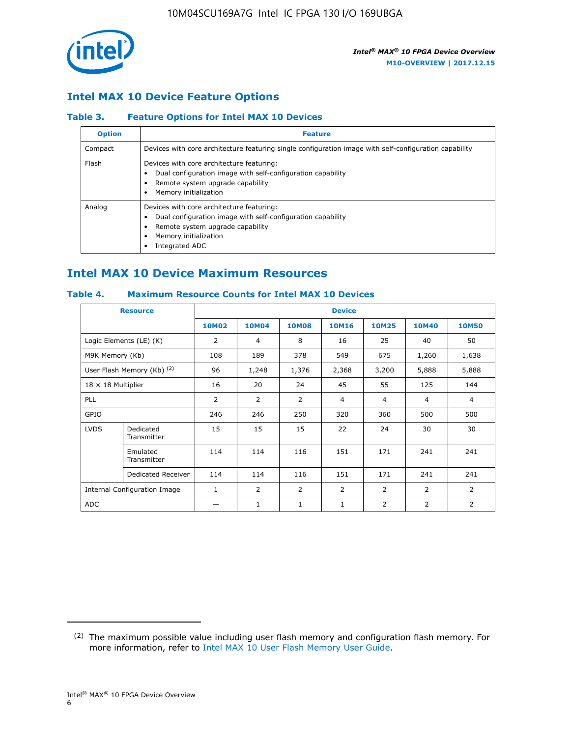

### **Intel MAX 10 Device Feature Options**

#### **Table 3. Feature Options for Intel MAX 10 Devices**

| <b>Option</b> | <b>Feature</b>                                                                                                                                                                          |
|---------------|-----------------------------------------------------------------------------------------------------------------------------------------------------------------------------------------|
| Compact       | Devices with core architecture featuring single configuration image with self-configuration capability                                                                                  |
| Flash         | Devices with core architecture featuring:<br>Dual configuration image with self-configuration capability<br>Remote system upgrade capability<br>Memory initialization                   |
| Analog        | Devices with core architecture featuring:<br>Dual configuration image with self-configuration capability<br>Remote system upgrade capability<br>Memory initialization<br>Integrated ADC |

## **Intel MAX 10 Device Maximum Resources**

#### **Table 4. Maximum Resource Counts for Intel MAX 10 Devices**

| <b>Resource</b>              |                            |              |                |              | <b>Device</b>  |                |              |                |
|------------------------------|----------------------------|--------------|----------------|--------------|----------------|----------------|--------------|----------------|
|                              |                            | <b>10M02</b> | 10M04          | <b>10M08</b> | <b>10M16</b>   | <b>10M25</b>   | <b>10M40</b> | <b>10M50</b>   |
|                              | Logic Elements (LE) (K)    | 2            | 4              | 8            | 16             | 25             | 40           | 50             |
| M9K Memory (Kb)              |                            | 108          | 189            | 378          | 549            | 675            | 1,260        | 1,638          |
|                              | User Flash Memory (Kb) (2) | 96           | 1,248          | 1,376        | 2,368          | 3,200          | 5,888        | 5,888          |
| $18 \times 18$ Multiplier    |                            | 16           | 20             | 24           | 45             | 55             | 125          | 144            |
| <b>PLL</b>                   |                            | 2            | $\overline{2}$ | 2            | $\overline{4}$ | $\overline{4}$ | 4            | $\overline{4}$ |
| GPIO                         |                            | 246          | 246            | 250          | 320            | 360            | 500          | 500            |
| <b>LVDS</b>                  | Dedicated<br>Transmitter   | 15           | 15             | 15           | 22             | 24             | 30           | 30             |
|                              | Emulated<br>Transmitter    | 114          | 114            | 116          | 151            | 171            | 241          | 241            |
|                              | Dedicated Receiver         | 114          | 114            | 116          | 151            | 171            | 241          | 241            |
| Internal Configuration Image |                            | $\mathbf{1}$ | $\overline{2}$ | 2            | $\overline{2}$ | $\overline{2}$ | 2            | $\overline{2}$ |
| ADC                          |                            |              | 1              | $\mathbf{1}$ | $\mathbf{1}$   | 2              | 2            | 2              |

<sup>(2)</sup> The maximum possible value including user flash memory and configuration flash memory. For more information, refer to [Intel MAX 10 User Flash Memory User Guide](https://www.altera.com/documentation/vgo1395753117436.html#vgo1395811844282).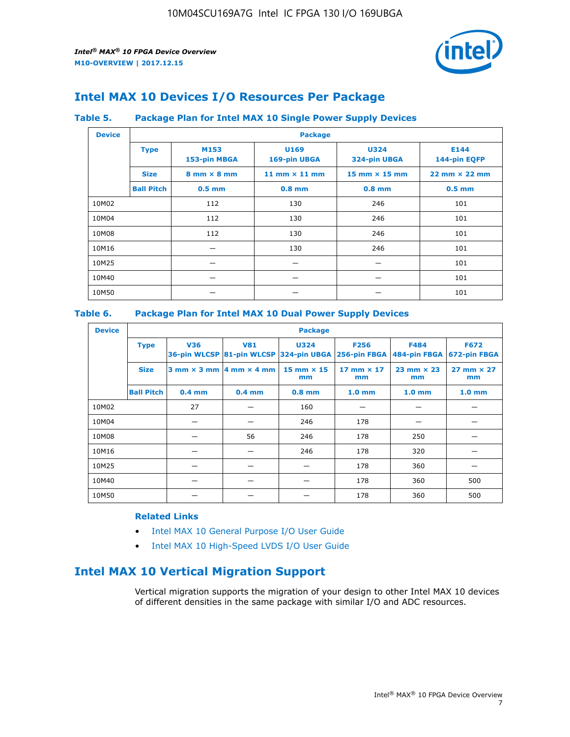

## **Intel MAX 10 Devices I/O Resources Per Package**

#### **Table 5. Package Plan for Intel MAX 10 Single Power Supply Devices**

| <b>Device</b> |                   | <b>Package</b>                     |                      |                             |                                      |  |  |  |  |
|---------------|-------------------|------------------------------------|----------------------|-----------------------------|--------------------------------------|--|--|--|--|
|               | <b>Type</b>       | M153<br>153-pin MBGA               | U169<br>169-pin UBGA | <b>U324</b><br>324-pin UBGA | E144<br>144-pin EQFP                 |  |  |  |  |
|               | <b>Size</b>       | $8 \text{ mm} \times 8 \text{ mm}$ | 11 mm $\times$ 11 mm | $15$ mm $\times$ 15 mm      | $22 \text{ mm} \times 22 \text{ mm}$ |  |  |  |  |
|               | <b>Ball Pitch</b> | $0.5$ mm                           | $0.8$ mm             | $0.8$ mm                    | $0.5$ mm                             |  |  |  |  |
| 10M02         |                   | 112                                | 130                  | 246                         | 101                                  |  |  |  |  |
| 10M04         |                   | 112                                | 130                  | 246                         | 101                                  |  |  |  |  |
| 10M08         |                   | 112                                | 130                  | 246                         | 101                                  |  |  |  |  |
| 10M16         |                   |                                    | 130                  | 246                         | 101                                  |  |  |  |  |
| 10M25         |                   |                                    |                      |                             | 101                                  |  |  |  |  |
| 10M40         |                   |                                    |                      |                             | 101                                  |  |  |  |  |
| 10M50         |                   |                                    |                      |                             | 101                                  |  |  |  |  |

#### **Table 6. Package Plan for Intel MAX 10 Dual Power Supply Devices**

| <b>Device</b> |                   | <b>Package</b> |                                                |                                                                    |                         |                             |                             |  |  |
|---------------|-------------------|----------------|------------------------------------------------|--------------------------------------------------------------------|-------------------------|-----------------------------|-----------------------------|--|--|
|               | <b>Type</b>       | <b>V36</b>     | <b>V81</b>                                     | <b>U324</b><br>36-pin WLCSP 81-pin WLCSP 324-pin UBGA 256-pin FBGA | <b>F256</b>             | <b>F484</b><br>484-pin FBGA | <b>F672</b><br>672-pin FBGA |  |  |
|               | <b>Size</b>       |                | $3$ mm $\times$ 3 mm $ 4$ mm $\times$ 4 mm $ $ | $15$ mm $\times$ 15<br>mm                                          | 17 mm $\times$ 17<br>mm | $23$ mm $\times$ 23<br>mm   | $27$ mm $\times$ 27<br>mm   |  |  |
|               | <b>Ball Pitch</b> | $0.4$ mm       | $0.4$ mm                                       | $0.8$ mm                                                           | 1.0 <sub>mm</sub>       | 1.0 <sub>mm</sub>           | 1.0 <sub>mm</sub>           |  |  |
| 10M02         |                   | 27             |                                                | 160                                                                |                         |                             |                             |  |  |
| 10M04         |                   |                |                                                | 246                                                                | 178                     |                             |                             |  |  |
| 10M08         |                   |                | 56                                             | 246                                                                | 178                     | 250                         |                             |  |  |
| 10M16         |                   |                |                                                | 246                                                                | 178                     | 320                         |                             |  |  |
| 10M25         |                   |                |                                                |                                                                    | 178                     | 360                         |                             |  |  |
| 10M40         |                   |                |                                                |                                                                    | 178                     | 360                         | 500                         |  |  |
| 10M50         |                   |                |                                                |                                                                    | 178                     | 360                         | 500                         |  |  |

#### **Related Links**

- [Intel MAX 10 General Purpose I/O User Guide](https://www.altera.com/documentation/sam1393999966669.html#sam1394000084476)
- [Intel MAX 10 High-Speed LVDS I/O User Guide](https://www.altera.com/documentation/sam1394433606063.html#sam1394433911642)

## **Intel MAX 10 Vertical Migration Support**

Vertical migration supports the migration of your design to other Intel MAX 10 devices of different densities in the same package with similar I/O and ADC resources.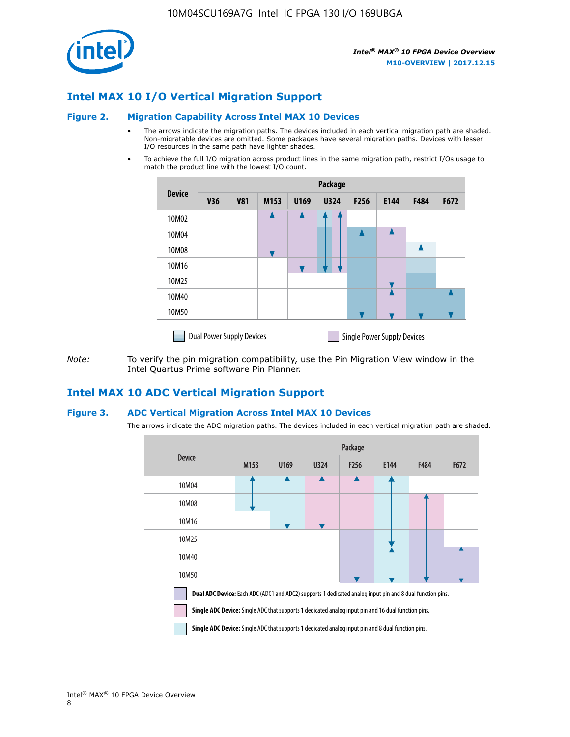

### **Intel MAX 10 I/O Vertical Migration Support**

#### **Figure 2. Migration Capability Across Intel MAX 10 Devices**

- The arrows indicate the migration paths. The devices included in each vertical migration path are shaded. Non-migratable devices are omitted. Some packages have several migration paths. Devices with lesser I/O resources in the same path have lighter shades.
- To achieve the full I/O migration across product lines in the same migration path, restrict I/Os usage to match the product line with the lowest I/O count.

|               | Package                          |            |      |      |             |      |                                    |      |      |  |
|---------------|----------------------------------|------------|------|------|-------------|------|------------------------------------|------|------|--|
| <b>Device</b> | <b>V36</b>                       | <b>V81</b> | M153 | U169 | <b>U324</b> | F256 | E144                               | F484 | F672 |  |
| 10M02         |                                  |            |      |      | 7           |      |                                    |      |      |  |
| 10M04         |                                  |            |      |      |             |      |                                    |      |      |  |
| 10M08         |                                  |            |      |      |             |      |                                    |      |      |  |
| 10M16         |                                  |            |      |      |             |      |                                    |      |      |  |
| 10M25         |                                  |            |      |      |             |      |                                    |      |      |  |
| 10M40         |                                  |            |      |      |             |      |                                    |      |      |  |
| 10M50         |                                  |            |      |      |             |      |                                    |      |      |  |
|               | <b>Dual Power Supply Devices</b> |            |      |      |             |      | <b>Single Power Supply Devices</b> |      |      |  |

*Note:* To verify the pin migration compatibility, use the Pin Migration View window in the Intel Quartus Prime software Pin Planner.

#### **Intel MAX 10 ADC Vertical Migration Support**

#### **Figure 3. ADC Vertical Migration Across Intel MAX 10 Devices**

The arrows indicate the ADC migration paths. The devices included in each vertical migration path are shaded.

|                                                                                                                                                                                                                         | Package |      |      |                  |      |      |      |  |  |
|-------------------------------------------------------------------------------------------------------------------------------------------------------------------------------------------------------------------------|---------|------|------|------------------|------|------|------|--|--|
| <b>Device</b>                                                                                                                                                                                                           | M153    | U169 | U324 | F <sub>256</sub> | E144 | F484 | F672 |  |  |
| 10M04                                                                                                                                                                                                                   |         |      |      |                  |      |      |      |  |  |
| 10M08                                                                                                                                                                                                                   |         |      |      |                  |      |      |      |  |  |
| 10M16                                                                                                                                                                                                                   |         |      |      |                  |      |      |      |  |  |
| 10M25                                                                                                                                                                                                                   |         |      |      |                  |      |      |      |  |  |
| 10M40                                                                                                                                                                                                                   |         |      |      |                  |      |      |      |  |  |
| 10M50                                                                                                                                                                                                                   |         |      |      |                  |      |      |      |  |  |
| Dual ADC Device: Each ADC (ADC1 and ADC2) supports 1 dedicated analog input pin and 8 dual function pins.<br><b>Single ADC Device:</b> Single ADC that supports 1 dedicated analog input pin and 16 dual function pins. |         |      |      |                  |      |      |      |  |  |

**Single ADC Device:** Single ADC that supports 1 dedicated analog input pin and 8 dual function pins.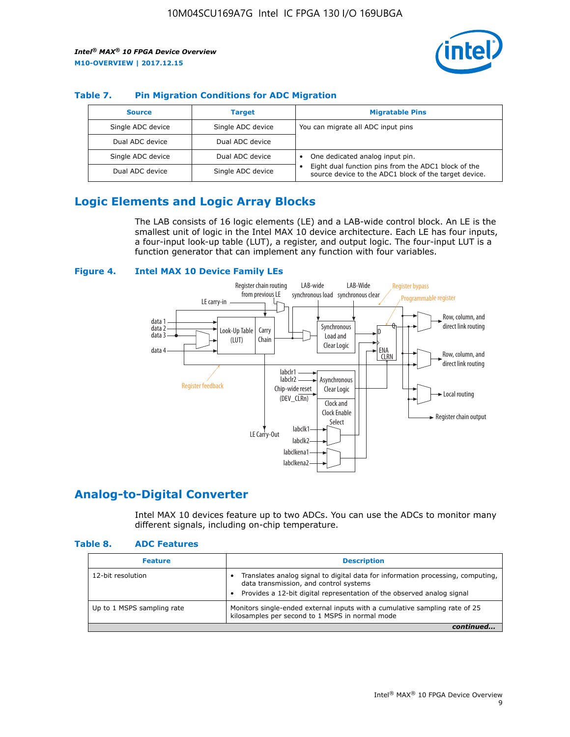

#### **Table 7. Pin Migration Conditions for ADC Migration**

| <b>Source</b>     | <b>Target</b>     | <b>Migratable Pins</b>                                                                                            |
|-------------------|-------------------|-------------------------------------------------------------------------------------------------------------------|
| Single ADC device | Single ADC device | You can migrate all ADC input pins                                                                                |
| Dual ADC device   | Dual ADC device   |                                                                                                                   |
| Single ADC device | Dual ADC device   | One dedicated analog input pin.                                                                                   |
| Dual ADC device   | Single ADC device | Eight dual function pins from the ADC1 block of the<br>٠<br>source device to the ADC1 block of the target device. |

## **Logic Elements and Logic Array Blocks**

The LAB consists of 16 logic elements (LE) and a LAB-wide control block. An LE is the smallest unit of logic in the Intel MAX 10 device architecture. Each LE has four inputs, a four-input look-up table (LUT), a register, and output logic. The four-input LUT is a function generator that can implement any function with four variables.

#### **Figure 4. Intel MAX 10 Device Family LEs**



#### **Analog-to-Digital Converter**

Intel MAX 10 devices feature up to two ADCs. You can use the ADCs to monitor many different signals, including on-chip temperature.

#### **Table 8. ADC Features**

| <b>Feature</b>             | <b>Description</b>                                                                                                                                                                                  |
|----------------------------|-----------------------------------------------------------------------------------------------------------------------------------------------------------------------------------------------------|
| 12-bit resolution          | Translates analog signal to digital data for information processing, computing,<br>data transmission, and control systems<br>Provides a 12-bit digital representation of the observed analog signal |
| Up to 1 MSPS sampling rate | Monitors single-ended external inputs with a cumulative sampling rate of 25<br>kilosamples per second to 1 MSPS in normal mode                                                                      |
|                            |                                                                                                                                                                                                     |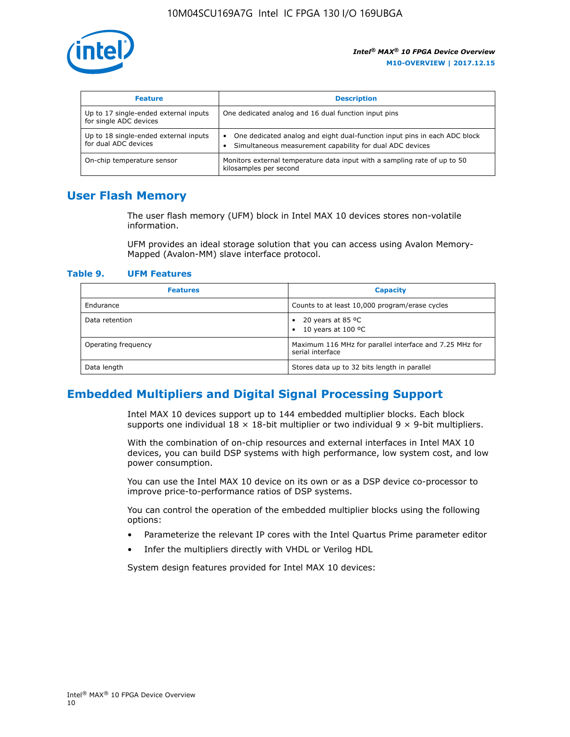

| <b>Feature</b>                                                  | <b>Description</b>                                                                                                                         |
|-----------------------------------------------------------------|--------------------------------------------------------------------------------------------------------------------------------------------|
| Up to 17 single-ended external inputs<br>for single ADC devices | One dedicated analog and 16 dual function input pins                                                                                       |
| Up to 18 single-ended external inputs<br>for dual ADC devices   | One dedicated analog and eight dual-function input pins in each ADC block<br>٠<br>Simultaneous measurement capability for dual ADC devices |
| On-chip temperature sensor                                      | Monitors external temperature data input with a sampling rate of up to 50<br>kilosamples per second                                        |

## **User Flash Memory**

The user flash memory (UFM) block in Intel MAX 10 devices stores non-volatile information.

UFM provides an ideal storage solution that you can access using Avalon Memory-Mapped (Avalon-MM) slave interface protocol.

#### **Table 9. UFM Features**

| <b>Features</b>     | <b>Capacity</b>                                                             |
|---------------------|-----------------------------------------------------------------------------|
| Endurance           | Counts to at least 10,000 program/erase cycles                              |
| Data retention      | 20 years at 85 $^{\circ}$ C<br>٠<br>10 years at 100 °C<br>$\bullet$         |
| Operating frequency | Maximum 116 MHz for parallel interface and 7.25 MHz for<br>serial interface |
| Data length         | Stores data up to 32 bits length in parallel                                |

## **Embedded Multipliers and Digital Signal Processing Support**

Intel MAX 10 devices support up to 144 embedded multiplier blocks. Each block supports one individual  $18 \times 18$ -bit multiplier or two individual  $9 \times 9$ -bit multipliers.

With the combination of on-chip resources and external interfaces in Intel MAX 10 devices, you can build DSP systems with high performance, low system cost, and low power consumption.

You can use the Intel MAX 10 device on its own or as a DSP device co-processor to improve price-to-performance ratios of DSP systems.

You can control the operation of the embedded multiplier blocks using the following options:

- Parameterize the relevant IP cores with the Intel Quartus Prime parameter editor
- Infer the multipliers directly with VHDL or Verilog HDL

System design features provided for Intel MAX 10 devices: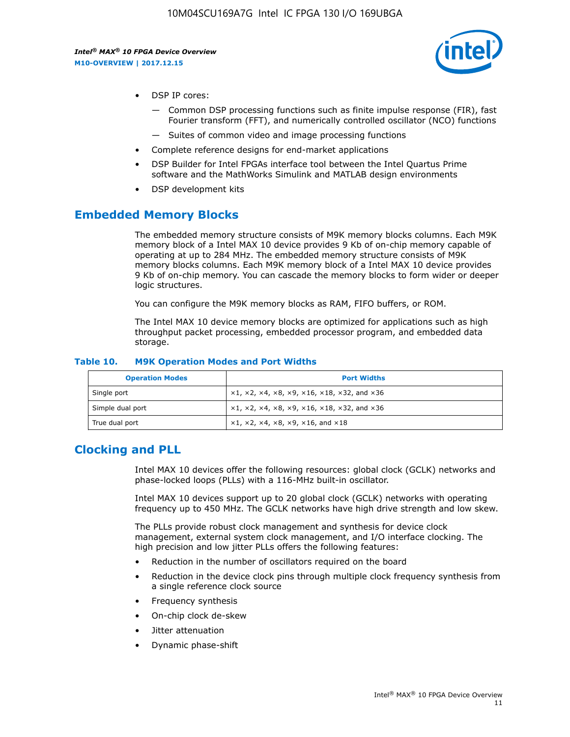

- DSP IP cores:
	- Common DSP processing functions such as finite impulse response (FIR), fast Fourier transform (FFT), and numerically controlled oscillator (NCO) functions
	- Suites of common video and image processing functions
- Complete reference designs for end-market applications
- DSP Builder for Intel FPGAs interface tool between the Intel Quartus Prime software and the MathWorks Simulink and MATLAB design environments
- DSP development kits

#### **Embedded Memory Blocks**

The embedded memory structure consists of M9K memory blocks columns. Each M9K memory block of a Intel MAX 10 device provides 9 Kb of on-chip memory capable of operating at up to 284 MHz. The embedded memory structure consists of M9K memory blocks columns. Each M9K memory block of a Intel MAX 10 device provides 9 Kb of on-chip memory. You can cascade the memory blocks to form wider or deeper logic structures.

You can configure the M9K memory blocks as RAM, FIFO buffers, or ROM.

The Intel MAX 10 device memory blocks are optimized for applications such as high throughput packet processing, embedded processor program, and embedded data storage.

| <b>Operation Modes</b> | <b>Port Widths</b>                                                            |
|------------------------|-------------------------------------------------------------------------------|
| Single port            | $x1, x2, x4, x8, x9, x16, x18, x32, and x36$                                  |
| Simple dual port       | $x1, x2, x4, x8, x9, x16, x18, x32, and x36$                                  |
| True dual port         | $\times1, \times2, \times4, \times8, \times9, \times16, \text{and } \times18$ |

#### **Table 10. M9K Operation Modes and Port Widths**

## **Clocking and PLL**

Intel MAX 10 devices offer the following resources: global clock (GCLK) networks and phase-locked loops (PLLs) with a 116-MHz built-in oscillator.

Intel MAX 10 devices support up to 20 global clock (GCLK) networks with operating frequency up to 450 MHz. The GCLK networks have high drive strength and low skew.

The PLLs provide robust clock management and synthesis for device clock management, external system clock management, and I/O interface clocking. The high precision and low jitter PLLs offers the following features:

- Reduction in the number of oscillators required on the board
- Reduction in the device clock pins through multiple clock frequency synthesis from a single reference clock source
- Frequency synthesis
- On-chip clock de-skew
- Jitter attenuation
- Dynamic phase-shift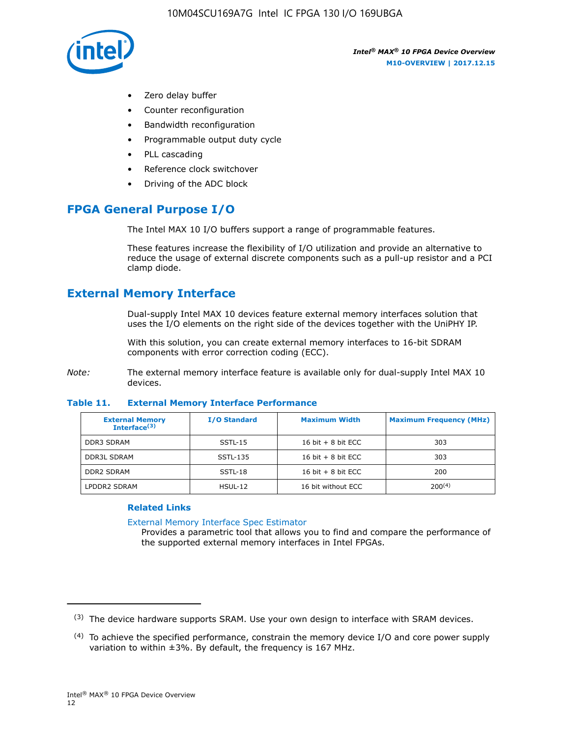

- Zero delay buffer
- Counter reconfiguration
- Bandwidth reconfiguration
- Programmable output duty cycle
- PLL cascading
- Reference clock switchover
- Driving of the ADC block

## **FPGA General Purpose I/O**

The Intel MAX 10 I/O buffers support a range of programmable features.

These features increase the flexibility of I/O utilization and provide an alternative to reduce the usage of external discrete components such as a pull-up resistor and a PCI clamp diode.

## **External Memory Interface**

Dual-supply Intel MAX 10 devices feature external memory interfaces solution that uses the I/O elements on the right side of the devices together with the UniPHY IP.

With this solution, you can create external memory interfaces to 16-bit SDRAM components with error correction coding (ECC).

*Note:* The external memory interface feature is available only for dual-supply Intel MAX 10 devices.

#### **Table 11. External Memory Interface Performance**

| <b>External Memory</b><br>Interface $(3)$ | <b>I/O Standard</b> | <b>Maximum Width</b> | <b>Maximum Frequency (MHz)</b> |
|-------------------------------------------|---------------------|----------------------|--------------------------------|
| <b>DDR3 SDRAM</b>                         | SSTL-15             | 16 bit $+8$ bit ECC  | 303                            |
| <b>DDR3L SDRAM</b>                        | SSTL-135            | 16 bit $+8$ bit ECC  | 303                            |
| <b>DDR2 SDRAM</b>                         | SSTL-18             | 16 bit $+8$ bit ECC  | 200                            |
| LPDDR2 SDRAM                              | $H$ SUL-12          | 16 bit without ECC   | $200^{(4)}$                    |

#### **Related Links**

[External Memory Interface Spec Estimator](http://www.altera.com/technology/memory/estimator/mem-emif-index.html)

Provides a parametric tool that allows you to find and compare the performance of the supported external memory interfaces in Intel FPGAs.

 $(3)$  The device hardware supports SRAM. Use your own design to interface with SRAM devices.

 $(4)$  To achieve the specified performance, constrain the memory device I/O and core power supply variation to within ±3%. By default, the frequency is 167 MHz.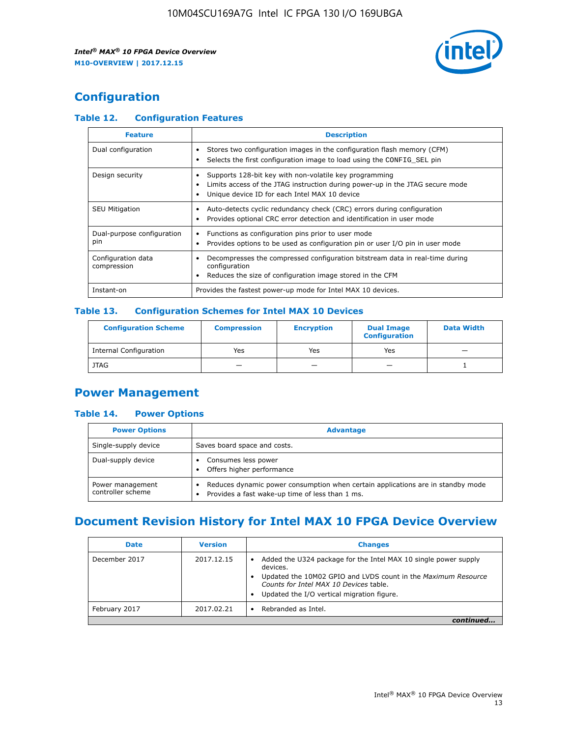

## **Configuration**

#### **Table 12. Configuration Features**

| <b>Feature</b>                    | <b>Description</b>                                                                                                                                                                       |
|-----------------------------------|------------------------------------------------------------------------------------------------------------------------------------------------------------------------------------------|
| Dual configuration                | Stores two configuration images in the configuration flash memory (CFM)<br>Selects the first configuration image to load using the CONFIG SEL pin                                        |
| Design security                   | Supports 128-bit key with non-volatile key programming<br>Limits access of the JTAG instruction during power-up in the JTAG secure mode<br>Unique device ID for each Intel MAX 10 device |
| <b>SEU Mitigation</b>             | Auto-detects cyclic redundancy check (CRC) errors during configuration<br>Provides optional CRC error detection and identification in user mode                                          |
| Dual-purpose configuration<br>pin | Functions as configuration pins prior to user mode<br>$\bullet$<br>Provides options to be used as configuration pin or user I/O pin in user mode                                         |
| Configuration data<br>compression | Decompresses the compressed configuration bitstream data in real-time during<br>configuration<br>Reduces the size of configuration image stored in the CFM                               |
| Instant-on                        | Provides the fastest power-up mode for Intel MAX 10 devices.                                                                                                                             |

#### **Table 13. Configuration Schemes for Intel MAX 10 Devices**

| <b>Configuration Scheme</b>   | <b>Compression</b>       | <b>Encryption</b> | <b>Dual Image</b><br><b>Configuration</b> | <b>Data Width</b> |
|-------------------------------|--------------------------|-------------------|-------------------------------------------|-------------------|
| <b>Internal Configuration</b> | Yes                      | Yes               | Yes                                       |                   |
| <b>JTAG</b>                   | $\overline{\phantom{a}}$ |                   | -                                         |                   |

## **Power Management**

#### **Table 14. Power Options**

| <b>Power Options</b>                  | <b>Advantage</b>                                                                                                                        |  |
|---------------------------------------|-----------------------------------------------------------------------------------------------------------------------------------------|--|
| Single-supply device                  | Saves board space and costs.                                                                                                            |  |
| Dual-supply device                    | Consumes less power<br>Offers higher performance<br>$\bullet$                                                                           |  |
| Power management<br>controller scheme | Reduces dynamic power consumption when certain applications are in standby mode<br>Provides a fast wake-up time of less than 1 ms.<br>٠ |  |

## **Document Revision History for Intel MAX 10 FPGA Device Overview**

| <b>Date</b>   | <b>Version</b> | <b>Changes</b>                                                                                                                                                                                                                       |
|---------------|----------------|--------------------------------------------------------------------------------------------------------------------------------------------------------------------------------------------------------------------------------------|
| December 2017 | 2017.12.15     | Added the U324 package for the Intel MAX 10 single power supply<br>devices.<br>Updated the 10M02 GPIO and LVDS count in the Maximum Resource<br>Counts for Intel MAX 10 Devices table.<br>Updated the I/O vertical migration figure. |
| February 2017 | 2017.02.21     | Rebranded as Intel.                                                                                                                                                                                                                  |
|               |                |                                                                                                                                                                                                                                      |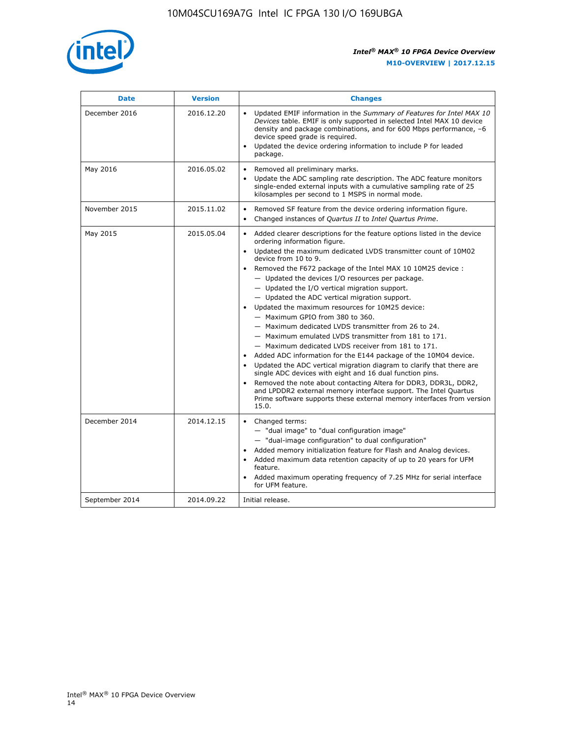

| <b>Date</b>    | <b>Version</b> | <b>Changes</b>                                                                                                                                                                                                                                                                                                                                                                                                                                                                                                                                                                                                                                                                                                                                                                                                                                                                                                                                                                                                                                                                                                  |
|----------------|----------------|-----------------------------------------------------------------------------------------------------------------------------------------------------------------------------------------------------------------------------------------------------------------------------------------------------------------------------------------------------------------------------------------------------------------------------------------------------------------------------------------------------------------------------------------------------------------------------------------------------------------------------------------------------------------------------------------------------------------------------------------------------------------------------------------------------------------------------------------------------------------------------------------------------------------------------------------------------------------------------------------------------------------------------------------------------------------------------------------------------------------|
| December 2016  | 2016.12.20     | • Updated EMIF information in the Summary of Features for Intel MAX 10<br>Devices table. EMIF is only supported in selected Intel MAX 10 device<br>density and package combinations, and for 600 Mbps performance, -6<br>device speed grade is required.<br>Updated the device ordering information to include P for leaded<br>package.                                                                                                                                                                                                                                                                                                                                                                                                                                                                                                                                                                                                                                                                                                                                                                         |
| May 2016       | 2016.05.02     | Removed all preliminary marks.<br>Update the ADC sampling rate description. The ADC feature monitors<br>single-ended external inputs with a cumulative sampling rate of 25<br>kilosamples per second to 1 MSPS in normal mode.                                                                                                                                                                                                                                                                                                                                                                                                                                                                                                                                                                                                                                                                                                                                                                                                                                                                                  |
| November 2015  | 2015.11.02     | Removed SF feature from the device ordering information figure.<br>$\bullet$<br>Changed instances of Quartus II to Intel Quartus Prime.<br>$\bullet$                                                                                                                                                                                                                                                                                                                                                                                                                                                                                                                                                                                                                                                                                                                                                                                                                                                                                                                                                            |
| May 2015       | 2015.05.04     | Added clearer descriptions for the feature options listed in the device<br>ordering information figure.<br>Updated the maximum dedicated LVDS transmitter count of 10M02<br>device from 10 to 9.<br>Removed the F672 package of the Intel MAX 10 10M25 device :<br>- Updated the devices I/O resources per package.<br>- Updated the I/O vertical migration support.<br>- Updated the ADC vertical migration support.<br>Updated the maximum resources for 10M25 device:<br>- Maximum GPIO from 380 to 360.<br>- Maximum dedicated LVDS transmitter from 26 to 24.<br>- Maximum emulated LVDS transmitter from 181 to 171.<br>- Maximum dedicated LVDS receiver from 181 to 171.<br>Added ADC information for the E144 package of the 10M04 device.<br>Updated the ADC vertical migration diagram to clarify that there are<br>single ADC devices with eight and 16 dual function pins.<br>Removed the note about contacting Altera for DDR3, DDR3L, DDR2,<br>and LPDDR2 external memory interface support. The Intel Quartus<br>Prime software supports these external memory interfaces from version<br>15.0. |
| December 2014  | 2014.12.15     | $\bullet$<br>Changed terms:<br>- "dual image" to "dual configuration image"<br>- "dual-image configuration" to dual configuration"<br>Added memory initialization feature for Flash and Analog devices.<br>Added maximum data retention capacity of up to 20 years for UFM<br>feature.<br>Added maximum operating frequency of 7.25 MHz for serial interface<br>for UFM feature.                                                                                                                                                                                                                                                                                                                                                                                                                                                                                                                                                                                                                                                                                                                                |
| September 2014 | 2014.09.22     | Initial release.                                                                                                                                                                                                                                                                                                                                                                                                                                                                                                                                                                                                                                                                                                                                                                                                                                                                                                                                                                                                                                                                                                |